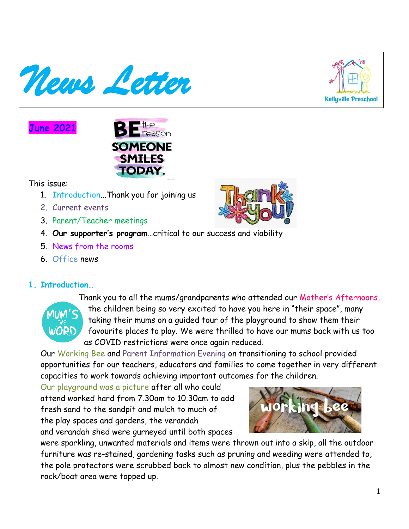



# **June 2021**



#### This issue:

- 1. Introduction...Thank you for joining us
- 2. Current events
- 3. Parent/Teacher meetings
- 4. **Our supporter's program**…critical to our success and viability
- 5. News from the rooms
- 6. Office news

## **1. Introduction…**



Thank you to all the mums/grandparents who attended our Mother's Afternoons, the children being so very excited to have you here in "their space", many taking their mums on a guided tour of the playground to show them their favourite places to play. We were thrilled to have our mums back with us too as COVID restrictions were once again reduced.

Our Working Bee and Parent Information Evening on transitioning to school provided opportunities for our teachers, educators and families to come together in very different capacities to work towards achieving important outcomes for the children.

Our playground was a picture after all who could attend worked hard from 7.30am to 10.30am to add fresh sand to the sandpit and mulch to much of the play spaces and gardens, the verandah and verandah shed were gurneyed until both spaces



were sparkling, unwanted materials and items were thrown out into a skip, all the outdoor furniture was re-stained, gardening tasks such as pruning and weeding were attended to, the pole protectors were scrubbed back to almost new condition, plus the pebbles in the rock/boat area were topped up.

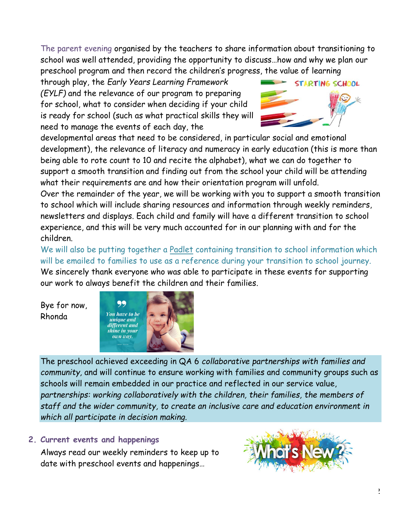The parent evening organised by the teachers to share information about transitioning to school was well attended, providing the opportunity to discuss…how and why we plan our preschool program and then record the children's progress, the value of learning

through play, the *Early Years Learning Framework (EYLF)* and the relevance of our program to preparing for school, what to consider when deciding if your child is ready for school (such as what practical skills they will need to manage the events of each day, the



developmental areas that need to be considered, in particular social and emotional development), the relevance of literacy and numeracy in early education (this is more than being able to rote count to 10 and recite the alphabet), what we can do together to support a smooth transition and finding out from the school your child will be attending what their requirements are and how their orientation program will unfold.

Over the remainder of the year, we will be working with you to support a smooth transition to school which will include sharing resources and information through weekly reminders, newsletters and displays. Each child and family will have a different transition to school experience, and this will be very much accounted for in our planning with and for the children.

We will also be putting together a Padlet containing transition to school information which will be emailed to families to use as a reference during your transition to school journey. We sincerely thank everyone who was able to participate in these events for supporting our work to always benefit the children and their families.

Bye for now, Rhonda



The preschool achieved exceeding in QA 6 *collaborative partnerships with families and community,* and will continue to ensure working with families and community groups such as schools will remain embedded in our practice and reflected in our service value, *partnerships: working collaboratively with the children, their families, the members of staff and the wider community, to create an inclusive care and education environment in which all participate in decision making.*

## **2. Current events and happenings**

Always read our weekly reminders to keep up to date with preschool events and happenings…

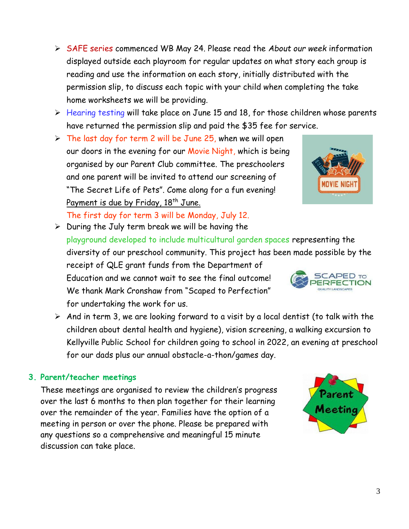➢ SAFE series commenced WB May 24. Please read the *About our week* information displayed outside each playroom for regular updates on what story each group is reading and use the information on each story, initially distributed with the permission slip, to discuss each topic with your child when completing the take home worksheets we will be providing.

- ➢ Hearing testing will take place on June 15 and 18, for those children whose parents have returned the permission slip and paid the \$35 fee for service.
- $\triangleright$  The last day for term 2 will be June 25, when we will open our doors in the evening for our Movie Night, which is being organised by our Parent Club committee. The preschoolers and one parent will be invited to attend our screening of "The Secret Life of Pets". Come along for a fun evening! Payment is due by Friday, 18<sup>th</sup> June.

The first day for term 3 will be Monday, July 12.

- $\triangleright$  During the July term break we will be having the playground developed to include multicultural garden spaces representing the diversity of our preschool community. This project has been made possible by the receipt of QLE grant funds from the Department of **SCAPED TO** Education and we cannot wait to see the final outcome! **ERFECTION** We thank Mark Cronshaw from "Scaped to Perfection" for undertaking the work for us.
- $\triangleright$  And in term 3, we are looking forward to a visit by a local dentist (to talk with the children about dental health and hygiene), vision screening, a walking excursion to Kellyville Public School for children going to school in 2022, an evening at preschool for our dads plus our annual obstacle-a-thon/games day.

#### **3. Parent/teacher meetings**

These meetings are organised to review the children's progress over the last 6 months to then plan together for their learning over the remainder of the year. Families have the option of a meeting in person or over the phone. Please be prepared with any questions so a comprehensive and meaningful 15 minute discussion can take place.



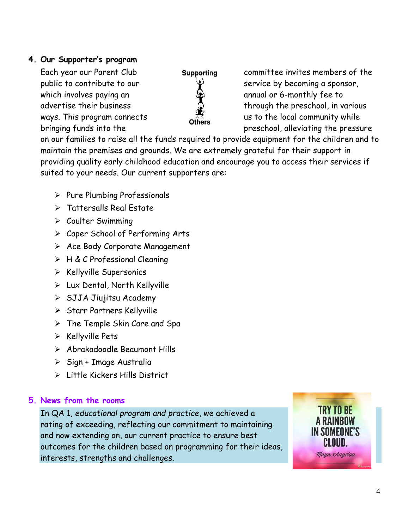#### **4. Our Supporter's program**

which involves paying an  $\mathbb{S}^1$  annual or 6-monthly fee to



Each year our Parent Club **Supporting** committee invites members of the public to contribute to our  $\forall$  service by becoming a sponsor, advertise their business  $\mathbb Q$  through the preschool, in various ways. This program connects  $\overline{\text{others}}$  us to the local community while bringing funds into the preschool, alleviating the pressure

on our families to raise all the funds required to provide equipment for the children and to maintain the premises and grounds. We are extremely grateful for their support in providing quality early childhood education and encourage you to access their services if suited to your needs. Our current supporters are:

- ➢ Pure Plumbing Professionals
- ➢ Tattersalls Real Estate
- ➢ Coulter Swimming
- ➢ Caper School of Performing Arts
- ➢ Ace Body Corporate Management
- ➢ H & C Professional Cleaning
- ➢ Kellyville Supersonics
- ➢ Lux Dental, North Kellyville
- ➢ SJJA Jiujitsu Academy
- ➢ Starr Partners Kellyville
- ➢ The Temple Skin Care and Spa
- ➢ Kellyville Pets
- ➢ Abrakadoodle Beaumont Hills
- ➢ Sign + Image Australia
- ➢ Little Kickers Hills District

## **5. News from the rooms**

In QA 1, *educational program and practice*, we achieved a rating of exceeding, reflecting our commitment to maintaining and now extending on, our current practice to ensure best outcomes for the children based on programming for their ideas, interests, strengths and challenges.

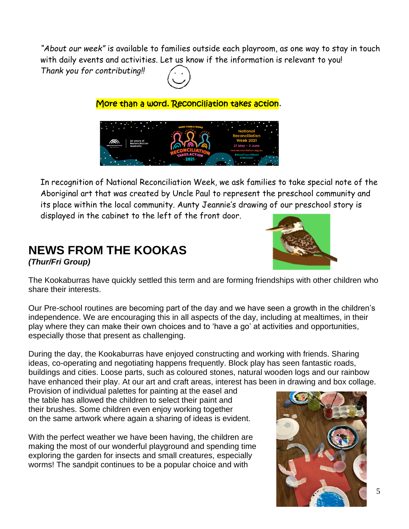*"About our week"* is available to families outside each playroom, as one way to stay in touch with daily events and activities. Let us know if the information is relevant to you!

*Thank you for contributing!!*



More than a word. Reconciliation takes action.



In recognition of National Reconciliation Week, we ask families to take special note of the Aboriginal art that was created by Uncle Paul to represent the preschool community and its place within the local community. Aunty Jeannie's drawing of our preschool story is displayed in the cabinet to the left of the front door.

# **NEWS FROM THE KOOKAS**

*(Thur/Fri Group)*



The Kookaburras have quickly settled this term and are forming friendships with other children who share their interests.

Our Pre-school routines are becoming part of the day and we have seen a growth in the children's independence. We are encouraging this in all aspects of the day, including at mealtimes, in their play where they can make their own choices and to 'have a go' at activities and opportunities, especially those that present as challenging.

During the day, the Kookaburras have enjoyed constructing and working with friends. Sharing ideas, co-operating and negotiating happens frequently. Block play has seen fantastic roads, buildings and cities. Loose parts, such as coloured stones, natural wooden logs and our rainbow have enhanced their play. At our art and craft areas, interest has been in drawing and box collage.

Provision of individual palettes for painting at the easel and the table has allowed the children to select their paint and their brushes. Some children even enjoy working together on the same artwork where again a sharing of ideas is evident.

With the perfect weather we have been having, the children are making the most of our wonderful playground and spending time exploring the garden for insects and small creatures, especially worms! The sandpit continues to be a popular choice and with

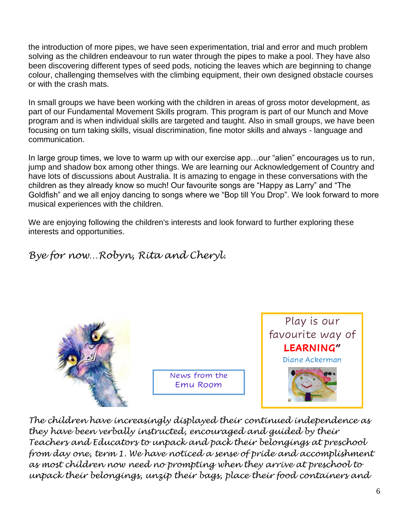the introduction of more pipes, we have seen experimentation, trial and error and much problem solving as the children endeavour to run water through the pipes to make a pool. They have also been discovering different types of seed pods, noticing the leaves which are beginning to change colour, challenging themselves with the climbing equipment, their own designed obstacle courses or with the crash mats.

In small groups we have been working with the children in areas of gross motor development, as part of our Fundamental Movement Skills program. This program is part of our Munch and Move program and is when individual skills are targeted and taught. Also in small groups, we have been focusing on turn taking skills, visual discrimination, fine motor skills and always - language and communication.

In large group times, we love to warm up with our exercise app…our "alien" encourages us to run, jump and shadow box among other things. We are learning our Acknowledgement of Country and have lots of discussions about Australia. It is amazing to engage in these conversations with the children as they already know so much! Our favourite songs are "Happy as Larry" and "The Goldfish" and we all enjoy dancing to songs where we "Bop till You Drop". We look forward to more musical experiences with the children.

We are enjoying following the children's interests and look forward to further exploring these interests and opportunities.

# *Bye for now…Robyn, Rita and Cheryl.*



News from the Emu Room



*The children have increasingly displayed their continued independence as they have been verbally instructed, encouraged and guided by their Teachers and Educators to unpack and pack their belongings at preschool from day one, term 1. We have noticed a sense of pride and accomplishment as most children now need no prompting when they arrive at preschool to unpack their belongings, unzip their bags, place their food containers and*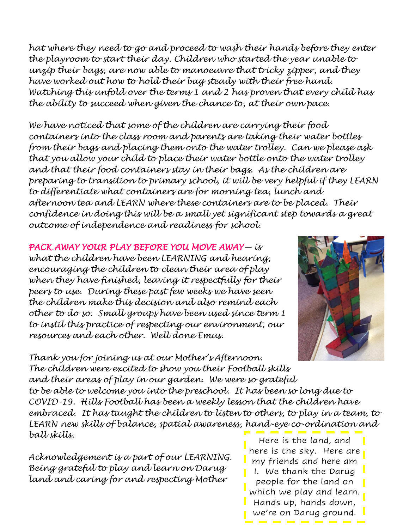*hat where they need to go and proceed to wash their hands before they enter the playroom to start their day. Children who started the year unable to unzip their bags, are now able to manoeuvre that tricky zipper, and they have worked out how to hold their bag steady with their free hand. Watching this unfold over the terms 1 and 2 has proven that every child has the ability to succeed when given the chance to, at their own pace.* 

*We have noticed that some of the children are carrying their food containers into the class room and parents are taking their water bottles from their bags and placing them onto the water trolley. Can we please ask that you allow your child to place their water bottle onto the water trolley and that their food containers stay in their bags. As the children are preparing to transition to primary school, it will be very helpful if they LEARN to differentiate what containers are for morning tea, lunch and afternoon tea and LEARN where these containers are to be placed. Their confidence in doing this will be a small yet significant step towards a great outcome of independence and readiness for school.* 

*PACK AWAY YOUR PLAY BEFORE YOU MOVE AWAY— is what the children have been LEARNING and hearing, encouraging the children to clean their area of play when they have finished, leaving it respectfully for their peers to use. During these past few weeks we have seen the children make this decision and also remind each other to do so. Small groups have been used since term 1 to instil this practice of respecting our environment, our resources and each other. Well done Emus.* 



*Thank you for joining us at our Mother's Afternoon. The children were excited to show you their Football skills and their areas of play in our garden. We were so grateful to be able to welcome you into the preschool. It has been so long due to COVID-19. Hills Football has been a weekly lesson that the children have*  embraced. It has taught the children to listen to others, to play in a team, to *LEARN new skills of balance, spatial awareness, hand-eye co-ordination and ball skills.*

*Acknowledgement is a part of our LEARNING. Being grateful to play and learn on Darug land and caring for and respecting Mother* 

Here is the land, and here is the sky. Here are my friends and here am I. We thank the Darug people for the land on which we play and learn. Hands up, hands down, we're on Darug ground.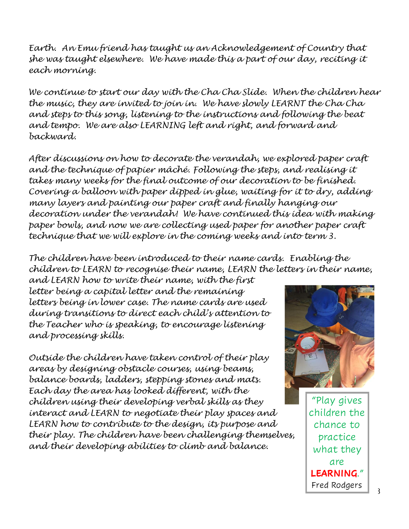*Earth. An Emu friend has taught us an Acknowledgement of Country that she was taught elsewhere. We have made this a part of our day, reciting it each morning.* 

*We continue to start our day with the Cha Cha Slide. When the children hear the music, they are invited to join in. We have slowly LEARNT the Cha Cha and steps to this song, listening to the instructions and following the beat and tempo. We are also LEARNING left and right, and forward and backward.* 

*After discussions on how to decorate the verandah, we explored paper craft and the technique of papier mâché. Following the steps, and realising it takes many weeks for the final outcome of our decoration to be finished. Covering a balloon with paper dipped in glue, waiting for it to dry, adding many layers and painting our paper craft and finally hanging our decoration under the verandah! We have continued this idea with making paper bowls, and now we are collecting used paper for another paper craft technique that we will explore in the coming weeks and into term 3.* 

*The children have been introduced to their name cards. Enabling the children to LEARN to recognise their name, LEARN the letters in their name,* 

*and LEARN how to write their name, with the first letter being a capital letter and the remaining letters being in lower case. The name cards are used during transitions to direct each child's attention to the Teacher who is speaking, to encourage listening and processing skills.* 

*Outside the children have taken control of their play areas by designing obstacle courses, using beams, balance boards, ladders, stepping stones and mats. Each day the area has looked different, with the children using their developing verbal skills as they interact and LEARN to negotiate their play spaces and LEARN how to contribute to the design, its purpose and their play. The children have been challenging themselves, and their developing abilities to climb and balance.*



"Play gives children the chance to practice what they are LEARNING." Fred Rodgers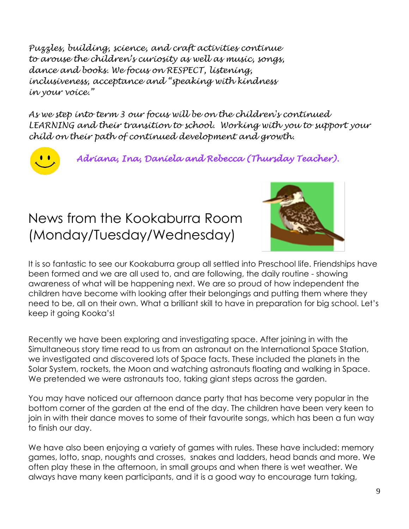*Puzzles, building, science, and craft activities continue to arouse the children's curiosity as well as music, songs, dance and books. We focus on RESPECT, listening, inclusiveness, acceptance and "speaking with kindness in your voice."*

*As we step into term 3 our focus will be on the children's continued LEARNING and their transition to school. Working with you to support your child on their path of continued development and growth.*



*Adriana, Ina, Daniela and Rebecca (Thursday Teacher).* 

# News from the Kookaburra Room (Monday/Tuesday/Wednesday)



It is so fantastic to see our Kookaburra group all settled into Preschool life. Friendships have been formed and we are all used to, and are following, the daily routine - showing awareness of what will be happening next. We are so proud of how independent the children have become with looking after their belongings and putting them where they need to be, all on their own. What a brilliant skill to have in preparation for big school. Let's keep it going Kooka's!

Recently we have been exploring and investigating space. After joining in with the Simultaneous story time read to us from an astronaut on the International Space Station, we investigated and discovered lots of Space facts. These included the planets in the Solar System, rockets, the Moon and watching astronauts floating and walking in Space. We pretended we were astronauts too, taking giant steps across the garden.

You may have noticed our afternoon dance party that has become very popular in the bottom corner of the garden at the end of the day. The children have been very keen to join in with their dance moves to some of their favourite songs, which has been a fun way to finish our day.

We have also been enjoying a variety of games with rules. These have included: memory games, lotto, snap, noughts and crosses, snakes and ladders, head bands and more. We often play these in the afternoon, in small groups and when there is wet weather. We always have many keen participants, and it is a good way to encourage turn taking,